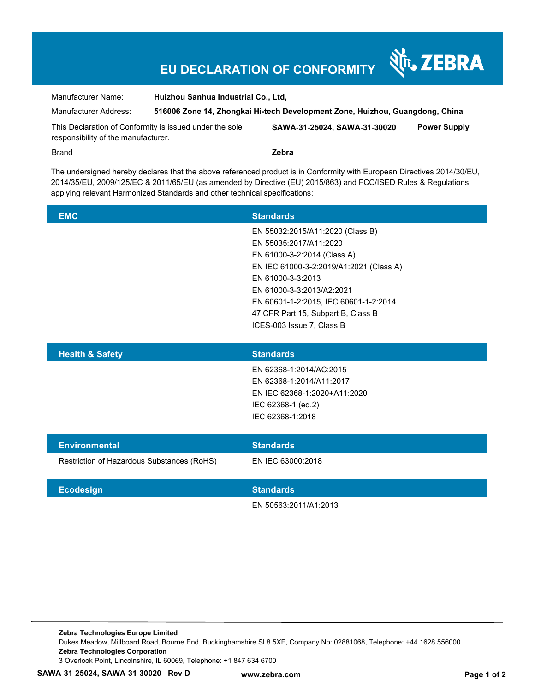## **EU DECLARATION OF CONFORMITY**

Manufacturer Name: **Huizhou Sanhua Industrial Co., Ltd,** 

Manufacturer Address: **516006 Zone 14, Zhongkai Hi-tech Development Zone, Huizhou, Guangdong, China** 

This Declaration of Conformity is issued under the sole responsibility of the manufacturer.

**SAWA**‐**31**‐**25024, SAWA**‐**31**‐**30020 Power Supply** 

र्शे<sub>ं</sub> ZEBRA

Brand **Zebra**

The undersigned hereby declares that the above referenced product is in Conformity with European Directives 2014/30/EU, 2014/35/EU, 2009/125/EC & 2011/65/EU (as amended by Directive (EU) 2015/863) and FCC/ISED Rules & Regulations applying relevant Harmonized Standards and other technical specifications:

| <b>EMC</b> | <b>Standards</b>                        |
|------------|-----------------------------------------|
|            | EN 55032:2015/A11:2020 (Class B)        |
|            | EN 55035:2017/A11:2020                  |
|            | EN 61000-3-2:2014 (Class A)             |
|            | EN IEC 61000-3-2:2019/A1:2021 (Class A) |
|            | EN 61000-3-3:2013                       |
|            | EN 61000-3-3:2013/A2:2021               |
|            | EN 60601-1-2:2015, IEC 60601-1-2:2014   |
|            | 47 CFR Part 15, Subpart B, Class B      |
|            | ICES-003 Issue 7. Class B               |
|            |                                         |

| <b>Health &amp; Safety</b>                 | <b>Standards</b>             |
|--------------------------------------------|------------------------------|
|                                            | EN 62368-1:2014/AC:2015      |
|                                            | EN 62368-1:2014/A11:2017     |
|                                            | EN IEC 62368-1:2020+A11:2020 |
|                                            | IEC 62368-1 (ed.2)           |
|                                            | IEC 62368-1:2018             |
|                                            |                              |
| <b>Environmental</b>                       | <b>Standards</b>             |
| Restriction of Hazardous Substances (RoHS) | EN IEC 63000:2018            |
|                                            |                              |
|                                            |                              |

EN 50563:2011/A1:2013

**Zebra Technologies Europe Limited**  Dukes Meadow, Millboard Road, Bourne End, Buckinghamshire SL8 5XF, Company No: 02881068, Telephone: +44 1628 556000 **Zebra Technologies Corporation**  3 Overlook Point, Lincolnshire, IL 60069, Telephone: +1 847 634 6700

**Ecodesign Standards**